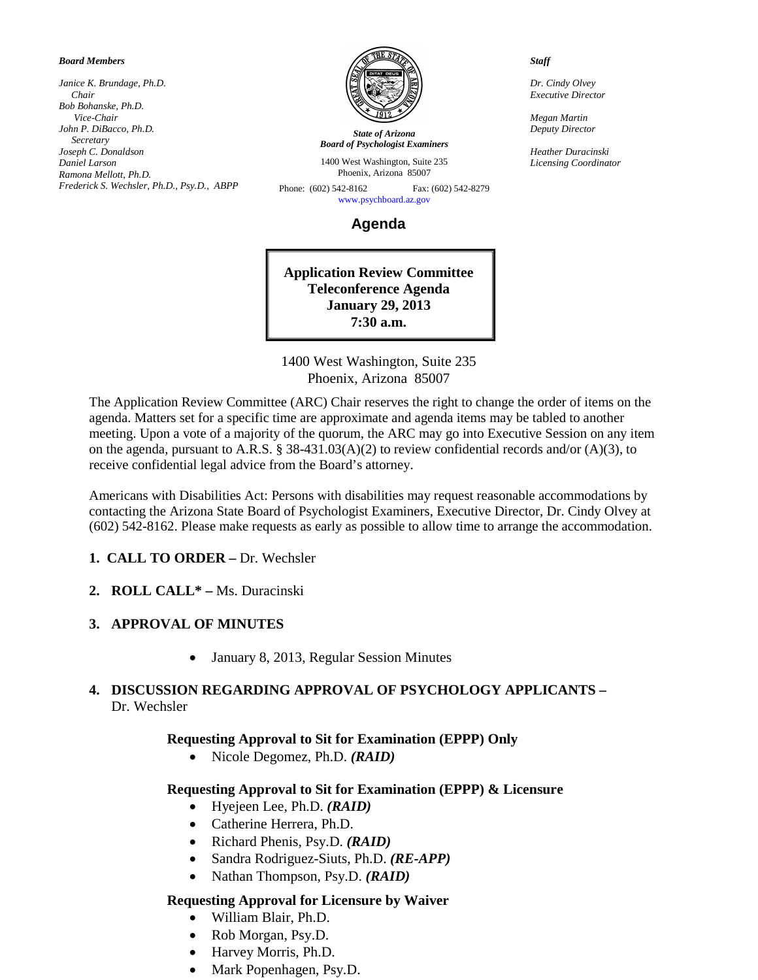#### *Board Members*

*Janice K. Brundage, Ph.D. Chair Bob Bohanske, Ph.D. Vice-Chair John P. DiBacco, Ph.D. Secretary Joseph C. Donaldson Daniel Larson Ramona Mellott, Ph.D. Frederick S. Wechsler, Ph.D., Psy.D., ABPP*



*State of Arizona Board of Psychologist Examiners*

1400 West Washington, Suite 235 Phoenix, Arizona 85007

Phone: (602) 542-8162 Fax: (602) 542-8279 [www.psychboard.az.gov](http://www.psychboard.az.gov/) 

**Agenda**

**Application Review Committee Teleconference Agenda January 29, 2013 7:30 a.m.**

1400 West Washington, Suite 235 Phoenix, Arizona 85007

The Application Review Committee (ARC) Chair reserves the right to change the order of items on the agenda. Matters set for a specific time are approximate and agenda items may be tabled to another meeting. Upon a vote of a majority of the quorum, the ARC may go into Executive Session on any item on the agenda, pursuant to A.R.S. § 38-431.03(A)(2) to review confidential records and/or (A)(3), to receive confidential legal advice from the Board's attorney.

Americans with Disabilities Act: Persons with disabilities may request reasonable accommodations by contacting the Arizona State Board of Psychologist Examiners, Executive Director, Dr. Cindy Olvey at (602) 542-8162. Please make requests as early as possible to allow time to arrange the accommodation.

### **1. CALL TO ORDER –** Dr. Wechsler

**2. ROLL CALL\* –** Ms. Duracinski

### **3. APPROVAL OF MINUTES**

• January 8, 2013, Regular Session Minutes

### **4. DISCUSSION REGARDING APPROVAL OF PSYCHOLOGY APPLICANTS –** Dr. Wechsler

### **Requesting Approval to Sit for Examination (EPPP) Only**

• Nicole Degomez, Ph.D. *(RAID)*

### **Requesting Approval to Sit for Examination (EPPP) & Licensure**

- Hyejeen Lee, Ph.D. *(RAID)*
- Catherine Herrera, Ph.D.
- Richard Phenis, Psy.D. *(RAID)*
- Sandra Rodriguez-Siuts, Ph.D. *(RE-APP)*
- Nathan Thompson, Psy.D. *(RAID)*

### **Requesting Approval for Licensure by Waiver**

- William Blair, Ph.D.
- Rob Morgan, Psy.D.
- Harvey Morris, Ph.D.
- Mark Popenhagen, Psy.D.

#### *Staff*

*Dr. Cindy Olvey Executive Director*

*Megan Martin Deputy Director*

*Heather Duracinski Licensing Coordinator*